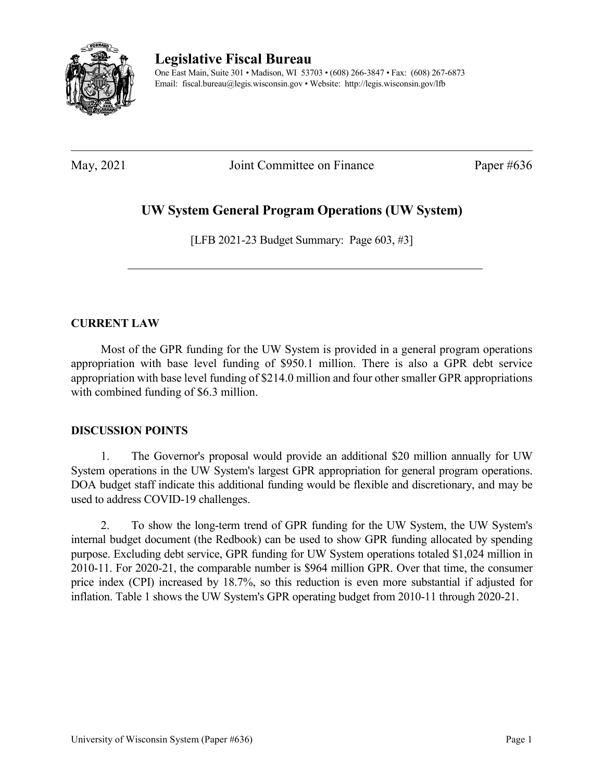

**Legislative Fiscal Bureau** One East Main, Suite 301 • Madison, WI 53703 • (608) 266-3847 • Fax: (608) 267-6873 Email: fiscal.bureau@legis.wisconsin.gov • Website:<http://legis.wisconsin.gov/lfb>

May, 2021 Joint Committee on Finance Paper #636

# **UW System General Program Operations (UW System)**

[LFB 2021-23 Budget Summary: Page 603, #3]

## **CURRENT LAW**

Most of the GPR funding for the UW System is provided in a general program operations appropriation with base level funding of \$950.1 million. There is also a GPR debt service appropriation with base level funding of \$214.0 million and four other smaller GPR appropriations with combined funding of \$6.3 million.

## **DISCUSSION POINTS**

1. The Governor's proposal would provide an additional \$20 million annually for UW System operations in the UW System's largest GPR appropriation for general program operations. DOA budget staff indicate this additional funding would be flexible and discretionary, and may be used to address COVID-19 challenges.

2. To show the long-term trend of GPR funding for the UW System, the UW System's internal budget document (the Redbook) can be used to show GPR funding allocated by spending purpose. Excluding debt service, GPR funding for UW System operations totaled \$1,024 million in 2010-11. For 2020-21, the comparable number is \$964 million GPR. Over that time, the consumer price index (CPI) increased by 18.7%, so this reduction is even more substantial if adjusted for inflation. Table 1 shows the UW System's GPR operating budget from 2010-11 through 2020-21.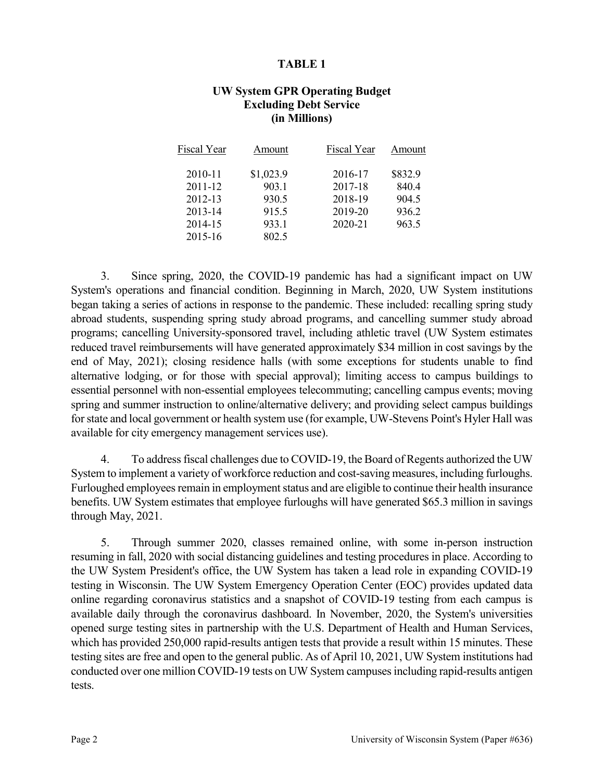#### **TABLE 1**

### **UW System GPR Operating Budget Excluding Debt Service (in Millions)**

| Fiscal Year | Amount    | Fiscal Year | Amount  |
|-------------|-----------|-------------|---------|
| 2010-11     | \$1,023.9 | 2016-17     | \$832.9 |
| 2011-12     | 903.1     | 2017-18     | 840.4   |
| 2012-13     | 930.5     | 2018-19     | 904.5   |
| 2013-14     | 915.5     | 2019-20     | 936.2   |
| 2014-15     | 933.1     | 2020-21     | 963.5   |
| 2015-16     | 802.5     |             |         |

3. Since spring, 2020, the COVID-19 pandemic has had a significant impact on UW System's operations and financial condition. Beginning in March, 2020, UW System institutions began taking a series of actions in response to the pandemic. These included: recalling spring study abroad students, suspending spring study abroad programs, and cancelling summer study abroad programs; cancelling University-sponsored travel, including athletic travel (UW System estimates reduced travel reimbursements will have generated approximately \$34 million in cost savings by the end of May, 2021); closing residence halls (with some exceptions for students unable to find alternative lodging, or for those with special approval); limiting access to campus buildings to essential personnel with non-essential employees telecommuting; cancelling campus events; moving spring and summer instruction to online/alternative delivery; and providing select campus buildings for state and local government or health system use (for example, UW-Stevens Point's Hyler Hall was available for city emergency management services use).

4. To address fiscal challenges due to COVID-19, the Board of Regents authorized the UW System to implement a variety of workforce reduction and cost-saving measures, including furloughs. Furloughed employees remain in employment status and are eligible to continue their health insurance benefits. UW System estimates that employee furloughs will have generated \$65.3 million in savings through May, 2021.

5. Through summer 2020, classes remained online, with some in-person instruction resuming in fall, 2020 with social distancing guidelines and testing procedures in place. According to the UW System President's office, the UW System has taken a lead role in expanding COVID-19 testing in Wisconsin. The UW System Emergency Operation Center (EOC) provides updated data online regarding coronavirus statistics and a snapshot of COVID-19 testing from each campus is available daily through the coronavirus dashboard. In November, 2020, the System's universities opened surge testing sites in partnership with the U.S. Department of Health and Human Services, which has provided 250,000 rapid-results antigen tests that provide a result within 15 minutes. These testing sites are free and open to the general public. As of April 10, 2021, UW System institutions had conducted over one million COVID-19 tests on UW System campuses including rapid-results antigen tests.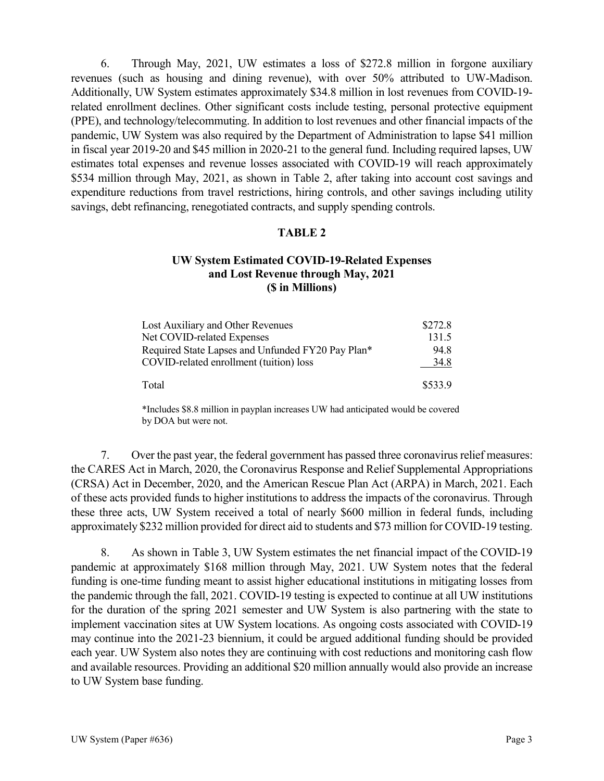6. Through May, 2021, UW estimates a loss of \$272.8 million in forgone auxiliary revenues (such as housing and dining revenue), with over 50% attributed to UW-Madison. Additionally, UW System estimates approximately \$34.8 million in lost revenues from COVID-19 related enrollment declines. Other significant costs include testing, personal protective equipment (PPE), and technology/telecommuting. In addition to lost revenues and other financial impacts of the pandemic, UW System was also required by the Department of Administration to lapse \$41 million in fiscal year 2019-20 and \$45 million in 2020-21 to the general fund. Including required lapses, UW estimates total expenses and revenue losses associated with COVID-19 will reach approximately \$534 million through May, 2021, as shown in Table 2, after taking into account cost savings and expenditure reductions from travel restrictions, hiring controls, and other savings including utility savings, debt refinancing, renegotiated contracts, and supply spending controls.

#### **TABLE 2**

### **UW System Estimated COVID-19-Related Expenses and Lost Revenue through May, 2021 (\$ in Millions)**

| Lost Auxiliary and Other Revenues                 | \$272.8 |
|---------------------------------------------------|---------|
| Net COVID-related Expenses                        | 131.5   |
| Required State Lapses and Unfunded FY20 Pay Plan* | 94.8    |
| COVID-related enrollment (tuition) loss           | 34.8    |
| Total                                             | \$533.9 |

\*Includes \$8.8 million in payplan increases UW had anticipated would be covered by DOA but were not.

7. Over the past year, the federal government has passed three coronavirus relief measures: the CARES Act in March, 2020, the Coronavirus Response and Relief Supplemental Appropriations (CRSA) Act in December, 2020, and the American Rescue Plan Act (ARPA) in March, 2021. Each of these acts provided funds to higher institutions to address the impacts of the coronavirus. Through these three acts, UW System received a total of nearly \$600 million in federal funds, including approximately \$232 million provided for direct aid to students and \$73 million for COVID-19 testing.

8. As shown in Table 3, UW System estimates the net financial impact of the COVID-19 pandemic at approximately \$168 million through May, 2021. UW System notes that the federal funding is one-time funding meant to assist higher educational institutions in mitigating losses from the pandemic through the fall, 2021. COVID-19 testing is expected to continue at all UW institutions for the duration of the spring 2021 semester and UW System is also partnering with the state to implement vaccination sites at UW System locations. As ongoing costs associated with COVID-19 may continue into the 2021-23 biennium, it could be argued additional funding should be provided each year. UW System also notes they are continuing with cost reductions and monitoring cash flow and available resources. Providing an additional \$20 million annually would also provide an increase to UW System base funding.